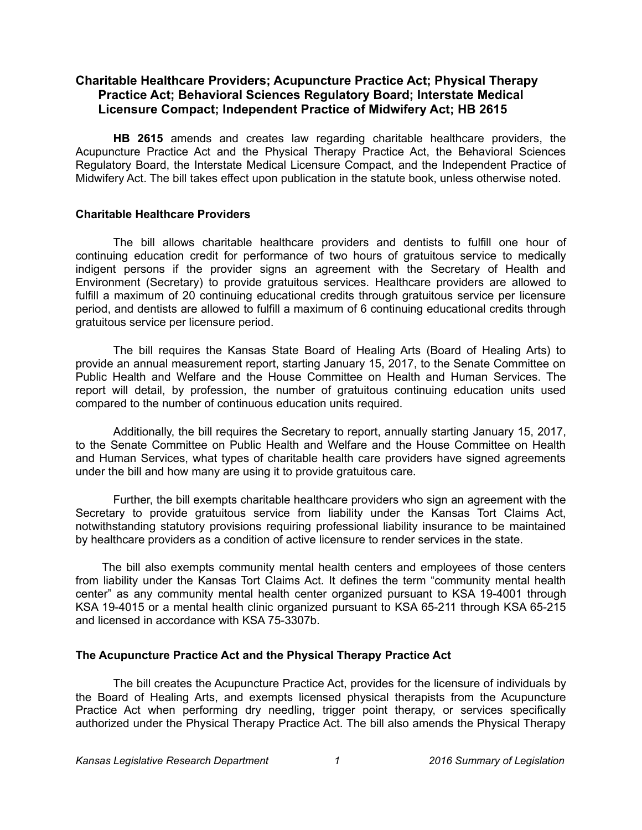## **Charitable Healthcare Providers; Acupuncture Practice Act; Physical Therapy Practice Act; Behavioral Sciences Regulatory Board; Interstate Medical Licensure Compact; Independent Practice of Midwifery Act; HB 2615**

**HB 2615** amends and creates law regarding charitable healthcare providers, the Acupuncture Practice Act and the Physical Therapy Practice Act, the Behavioral Sciences Regulatory Board, the Interstate Medical Licensure Compact, and the Independent Practice of Midwifery Act. The bill takes effect upon publication in the statute book, unless otherwise noted.

#### **Charitable Healthcare Providers**

The bill allows charitable healthcare providers and dentists to fulfill one hour of continuing education credit for performance of two hours of gratuitous service to medically indigent persons if the provider signs an agreement with the Secretary of Health and Environment (Secretary) to provide gratuitous services. Healthcare providers are allowed to fulfill a maximum of 20 continuing educational credits through gratuitous service per licensure period, and dentists are allowed to fulfill a maximum of 6 continuing educational credits through gratuitous service per licensure period.

The bill requires the Kansas State Board of Healing Arts (Board of Healing Arts) to provide an annual measurement report, starting January 15, 2017, to the Senate Committee on Public Health and Welfare and the House Committee on Health and Human Services. The report will detail, by profession, the number of gratuitous continuing education units used compared to the number of continuous education units required.

Additionally, the bill requires the Secretary to report, annually starting January 15, 2017, to the Senate Committee on Public Health and Welfare and the House Committee on Health and Human Services, what types of charitable health care providers have signed agreements under the bill and how many are using it to provide gratuitous care.

Further, the bill exempts charitable healthcare providers who sign an agreement with the Secretary to provide gratuitous service from liability under the Kansas Tort Claims Act, notwithstanding statutory provisions requiring professional liability insurance to be maintained by healthcare providers as a condition of active licensure to render services in the state.

The bill also exempts community mental health centers and employees of those centers from liability under the Kansas Tort Claims Act. It defines the term "community mental health center" as any community mental health center organized pursuant to KSA 19-4001 through KSA 19-4015 or a mental health clinic organized pursuant to KSA 65-211 through KSA 65-215 and licensed in accordance with KSA 75-3307b.

#### **The Acupuncture Practice Act and the Physical Therapy Practice Act**

The bill creates the Acupuncture Practice Act, provides for the licensure of individuals by the Board of Healing Arts, and exempts licensed physical therapists from the Acupuncture Practice Act when performing dry needling, trigger point therapy, or services specifically authorized under the Physical Therapy Practice Act. The bill also amends the Physical Therapy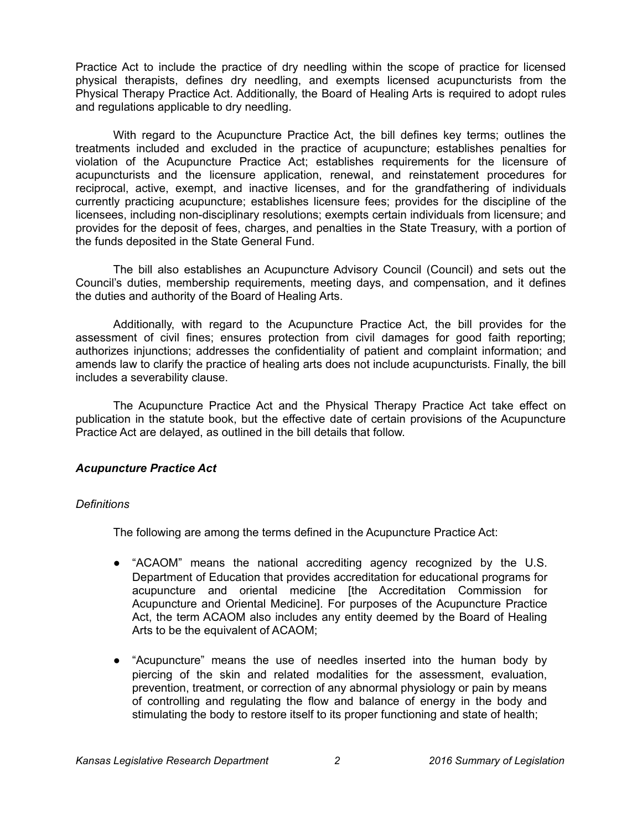Practice Act to include the practice of dry needling within the scope of practice for licensed physical therapists, defines dry needling, and exempts licensed acupuncturists from the Physical Therapy Practice Act. Additionally, the Board of Healing Arts is required to adopt rules and regulations applicable to dry needling.

With regard to the Acupuncture Practice Act, the bill defines key terms; outlines the treatments included and excluded in the practice of acupuncture; establishes penalties for violation of the Acupuncture Practice Act; establishes requirements for the licensure of acupuncturists and the licensure application, renewal, and reinstatement procedures for reciprocal, active, exempt, and inactive licenses, and for the grandfathering of individuals currently practicing acupuncture; establishes licensure fees; provides for the discipline of the licensees, including non-disciplinary resolutions; exempts certain individuals from licensure; and provides for the deposit of fees, charges, and penalties in the State Treasury, with a portion of the funds deposited in the State General Fund.

The bill also establishes an Acupuncture Advisory Council (Council) and sets out the Council's duties, membership requirements, meeting days, and compensation, and it defines the duties and authority of the Board of Healing Arts.

Additionally, with regard to the Acupuncture Practice Act, the bill provides for the assessment of civil fines; ensures protection from civil damages for good faith reporting; authorizes injunctions; addresses the confidentiality of patient and complaint information; and amends law to clarify the practice of healing arts does not include acupuncturists. Finally, the bill includes a severability clause.

The Acupuncture Practice Act and the Physical Therapy Practice Act take effect on publication in the statute book, but the effective date of certain provisions of the Acupuncture Practice Act are delayed, as outlined in the bill details that follow.

## *Acupuncture Practice Act*

#### *Definitions*

The following are among the terms defined in the Acupuncture Practice Act:

- "ACAOM" means the national accrediting agency recognized by the U.S. Department of Education that provides accreditation for educational programs for acupuncture and oriental medicine [the Accreditation Commission for Acupuncture and Oriental Medicine]. For purposes of the Acupuncture Practice Act, the term ACAOM also includes any entity deemed by the Board of Healing Arts to be the equivalent of ACAOM;
- "Acupuncture" means the use of needles inserted into the human body by piercing of the skin and related modalities for the assessment, evaluation, prevention, treatment, or correction of any abnormal physiology or pain by means of controlling and regulating the flow and balance of energy in the body and stimulating the body to restore itself to its proper functioning and state of health;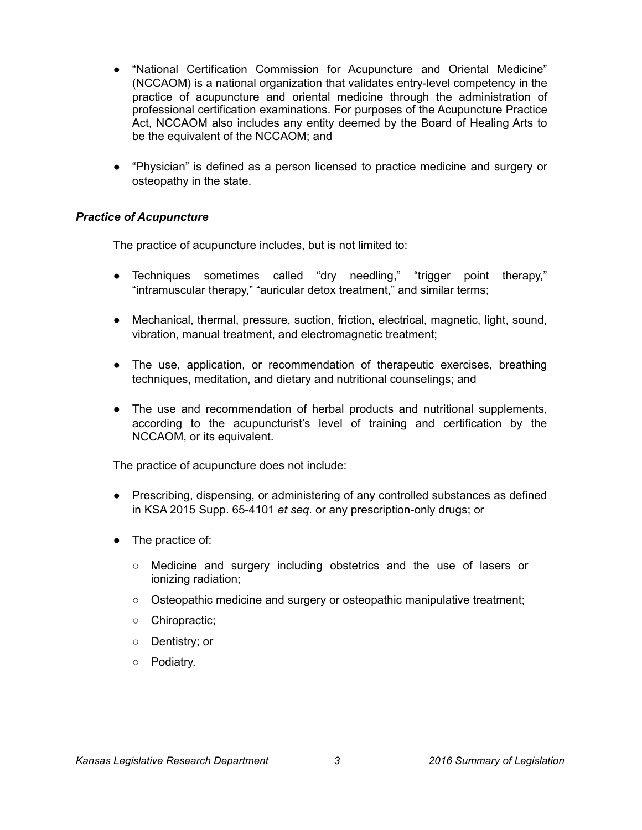- "National Certification Commission for Acupuncture and Oriental Medicine" (NCCAOM) is a national organization that validates entry-level competency in the practice of acupuncture and oriental medicine through the administration of professional certification examinations. For purposes of the Acupuncture Practice Act, NCCAOM also includes any entity deemed by the Board of Healing Arts to be the equivalent of the NCCAOM; and
- "Physician" is defined as a person licensed to practice medicine and surgery or osteopathy in the state.

## *Practice of Acupuncture*

The practice of acupuncture includes, but is not limited to:

- Techniques sometimes called "dry needling," "trigger point therapy," "intramuscular therapy," "auricular detox treatment," and similar terms;
- Mechanical, thermal, pressure, suction, friction, electrical, magnetic, light, sound, vibration, manual treatment, and electromagnetic treatment;
- The use, application, or recommendation of therapeutic exercises, breathing techniques, meditation, and dietary and nutritional counselings; and
- The use and recommendation of herbal products and nutritional supplements, according to the acupuncturist's level of training and certification by the NCCAOM, or its equivalent.

The practice of acupuncture does not include:

- Prescribing, dispensing, or administering of any controlled substances as defined in KSA 2015 Supp. 65-4101 *et seq.* or any prescription-only drugs; or
- The practice of:
	- Medicine and surgery including obstetrics and the use of lasers or ionizing radiation;
	- Osteopathic medicine and surgery or osteopathic manipulative treatment;
	- Chiropractic;
	- Dentistry; or
	- Podiatry.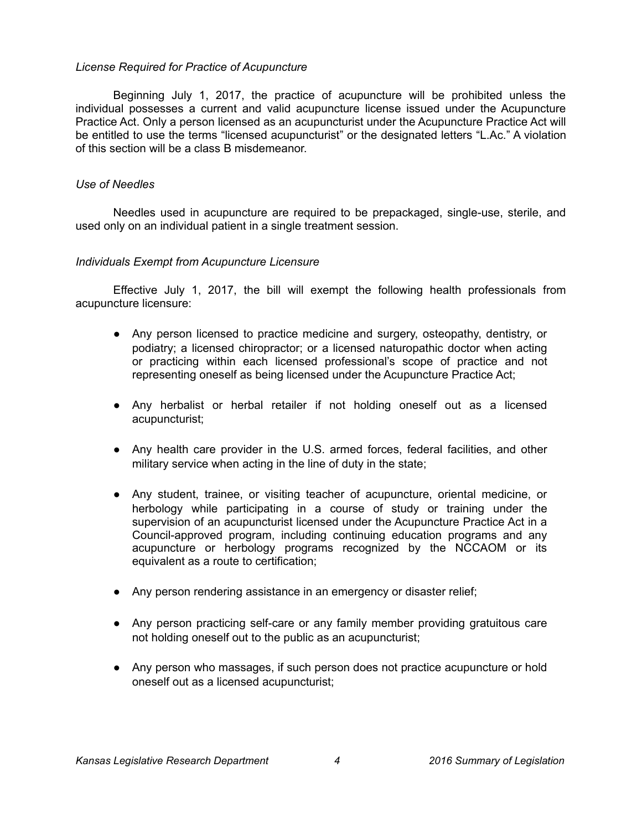### *License Required for Practice of Acupuncture*

Beginning July 1, 2017, the practice of acupuncture will be prohibited unless the individual possesses a current and valid acupuncture license issued under the Acupuncture Practice Act. Only a person licensed as an acupuncturist under the Acupuncture Practice Act will be entitled to use the terms "licensed acupuncturist" or the designated letters "L.Ac." A violation of this section will be a class B misdemeanor.

### *Use of Needles*

Needles used in acupuncture are required to be prepackaged, single-use, sterile, and used only on an individual patient in a single treatment session.

### *Individuals Exempt from Acupuncture Licensure*

Effective July 1, 2017, the bill will exempt the following health professionals from acupuncture licensure:

- Any person licensed to practice medicine and surgery, osteopathy, dentistry, or podiatry; a licensed chiropractor; or a licensed naturopathic doctor when acting or practicing within each licensed professional's scope of practice and not representing oneself as being licensed under the Acupuncture Practice Act;
- Any herbalist or herbal retailer if not holding oneself out as a licensed acupuncturist;
- Any health care provider in the U.S. armed forces, federal facilities, and other military service when acting in the line of duty in the state;
- Any student, trainee, or visiting teacher of acupuncture, oriental medicine, or herbology while participating in a course of study or training under the supervision of an acupuncturist licensed under the Acupuncture Practice Act in a Council-approved program, including continuing education programs and any acupuncture or herbology programs recognized by the NCCAOM or its equivalent as a route to certification;
- Any person rendering assistance in an emergency or disaster relief;
- Any person practicing self-care or any family member providing gratuitous care not holding oneself out to the public as an acupuncturist;
- Any person who massages, if such person does not practice acupuncture or hold oneself out as a licensed acupuncturist;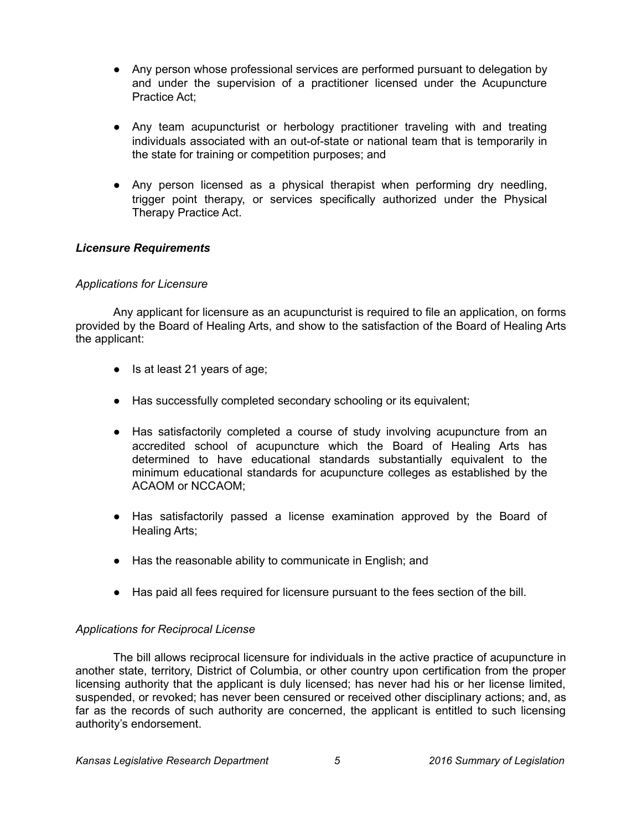- Any person whose professional services are performed pursuant to delegation by and under the supervision of a practitioner licensed under the Acupuncture Practice Act;
- Any team acupuncturist or herbology practitioner traveling with and treating individuals associated with an out-of-state or national team that is temporarily in the state for training or competition purposes; and
- Any person licensed as a physical therapist when performing dry needling, trigger point therapy, or services specifically authorized under the Physical Therapy Practice Act.

## *Licensure Requirements*

#### *Applications for Licensure*

Any applicant for licensure as an acupuncturist is required to file an application, on forms provided by the Board of Healing Arts, and show to the satisfaction of the Board of Healing Arts the applicant:

- Is at least 21 years of age;
- Has successfully completed secondary schooling or its equivalent;
- Has satisfactorily completed a course of study involving acupuncture from an accredited school of acupuncture which the Board of Healing Arts has determined to have educational standards substantially equivalent to the minimum educational standards for acupuncture colleges as established by the ACAOM or NCCAOM;
- Has satisfactorily passed a license examination approved by the Board of Healing Arts;
- Has the reasonable ability to communicate in English; and
- Has paid all fees required for licensure pursuant to the fees section of the bill.

#### *Applications for Reciprocal License*

The bill allows reciprocal licensure for individuals in the active practice of acupuncture in another state, territory, District of Columbia, or other country upon certification from the proper licensing authority that the applicant is duly licensed; has never had his or her license limited, suspended, or revoked; has never been censured or received other disciplinary actions; and, as far as the records of such authority are concerned, the applicant is entitled to such licensing authority's endorsement.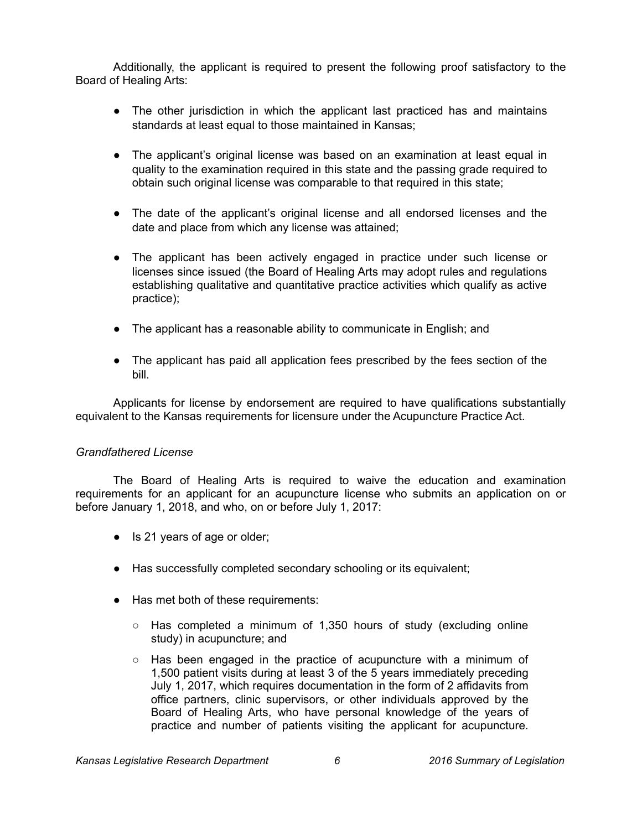Additionally, the applicant is required to present the following proof satisfactory to the Board of Healing Arts:

- The other jurisdiction in which the applicant last practiced has and maintains standards at least equal to those maintained in Kansas;
- The applicant's original license was based on an examination at least equal in quality to the examination required in this state and the passing grade required to obtain such original license was comparable to that required in this state;
- The date of the applicant's original license and all endorsed licenses and the date and place from which any license was attained;
- The applicant has been actively engaged in practice under such license or licenses since issued (the Board of Healing Arts may adopt rules and regulations establishing qualitative and quantitative practice activities which qualify as active practice);
- The applicant has a reasonable ability to communicate in English; and
- The applicant has paid all application fees prescribed by the fees section of the bill.

Applicants for license by endorsement are required to have qualifications substantially equivalent to the Kansas requirements for licensure under the Acupuncture Practice Act.

## *Grandfathered License*

The Board of Healing Arts is required to waive the education and examination requirements for an applicant for an acupuncture license who submits an application on or before January 1, 2018, and who, on or before July 1, 2017:

- Is 21 years of age or older;
- Has successfully completed secondary schooling or its equivalent;
- Has met both of these requirements:
	- $\circ$  Has completed a minimum of 1,350 hours of study (excluding online study) in acupuncture; and
	- $\circ$  Has been engaged in the practice of acupuncture with a minimum of 1,500 patient visits during at least 3 of the 5 years immediately preceding July 1, 2017, which requires documentation in the form of 2 affidavits from office partners, clinic supervisors, or other individuals approved by the Board of Healing Arts, who have personal knowledge of the years of practice and number of patients visiting the applicant for acupuncture.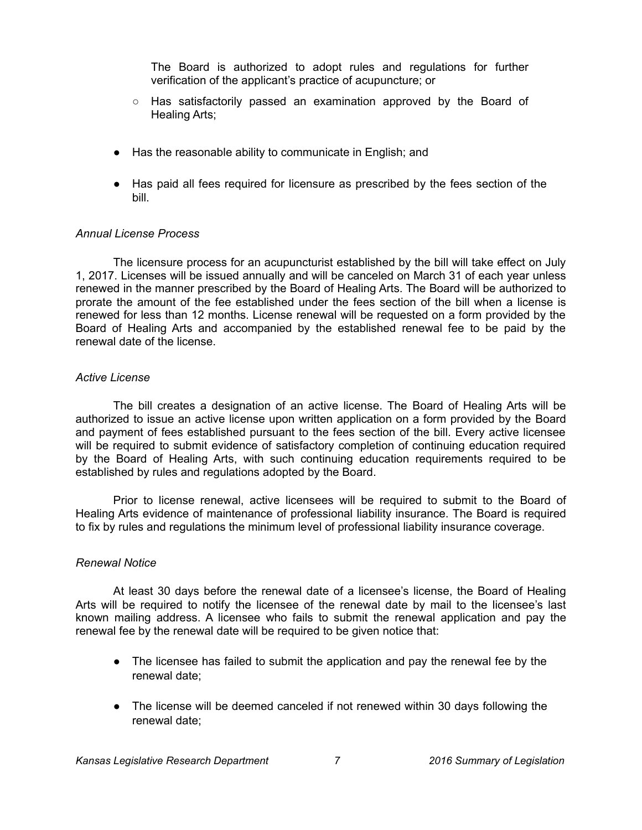The Board is authorized to adopt rules and regulations for further verification of the applicant's practice of acupuncture; or

- $\circ$  Has satisfactorily passed an examination approved by the Board of Healing Arts;
- Has the reasonable ability to communicate in English; and
- Has paid all fees required for licensure as prescribed by the fees section of the bill.

### *Annual License Process*

The licensure process for an acupuncturist established by the bill will take effect on July 1, 2017. Licenses will be issued annually and will be canceled on March 31 of each year unless renewed in the manner prescribed by the Board of Healing Arts. The Board will be authorized to prorate the amount of the fee established under the fees section of the bill when a license is renewed for less than 12 months. License renewal will be requested on a form provided by the Board of Healing Arts and accompanied by the established renewal fee to be paid by the renewal date of the license.

#### *Active License*

The bill creates a designation of an active license. The Board of Healing Arts will be authorized to issue an active license upon written application on a form provided by the Board and payment of fees established pursuant to the fees section of the bill. Every active licensee will be required to submit evidence of satisfactory completion of continuing education required by the Board of Healing Arts, with such continuing education requirements required to be established by rules and regulations adopted by the Board.

Prior to license renewal, active licensees will be required to submit to the Board of Healing Arts evidence of maintenance of professional liability insurance. The Board is required to fix by rules and regulations the minimum level of professional liability insurance coverage.

#### *Renewal Notice*

At least 30 days before the renewal date of a licensee's license, the Board of Healing Arts will be required to notify the licensee of the renewal date by mail to the licensee's last known mailing address. A licensee who fails to submit the renewal application and pay the renewal fee by the renewal date will be required to be given notice that:

- The licensee has failed to submit the application and pay the renewal fee by the renewal date;
- The license will be deemed canceled if not renewed within 30 days following the renewal date;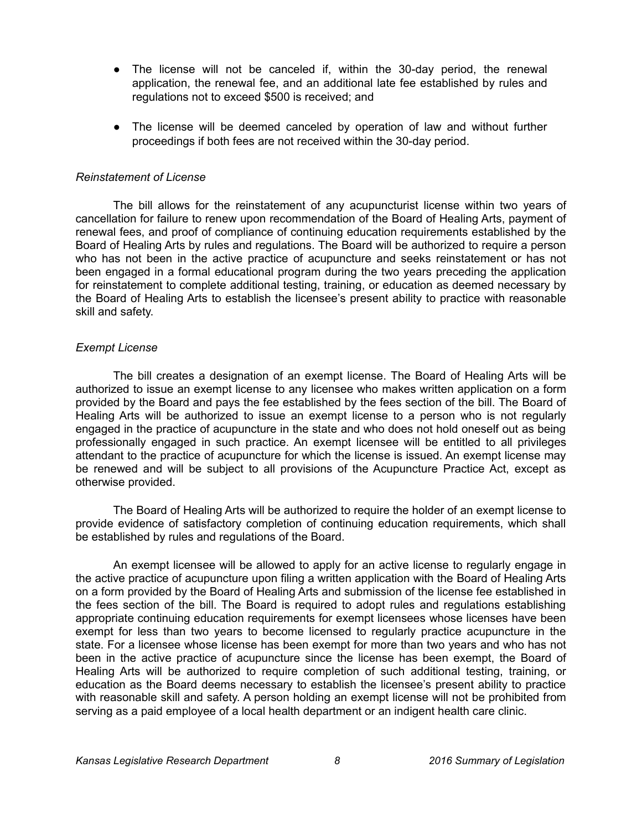- The license will not be canceled if, within the 30-day period, the renewal application, the renewal fee, and an additional late fee established by rules and regulations not to exceed \$500 is received; and
- The license will be deemed canceled by operation of law and without further proceedings if both fees are not received within the 30-day period.

#### *Reinstatement of License*

The bill allows for the reinstatement of any acupuncturist license within two years of cancellation for failure to renew upon recommendation of the Board of Healing Arts, payment of renewal fees, and proof of compliance of continuing education requirements established by the Board of Healing Arts by rules and regulations. The Board will be authorized to require a person who has not been in the active practice of acupuncture and seeks reinstatement or has not been engaged in a formal educational program during the two years preceding the application for reinstatement to complete additional testing, training, or education as deemed necessary by the Board of Healing Arts to establish the licensee's present ability to practice with reasonable skill and safety.

#### *Exempt License*

The bill creates a designation of an exempt license. The Board of Healing Arts will be authorized to issue an exempt license to any licensee who makes written application on a form provided by the Board and pays the fee established by the fees section of the bill. The Board of Healing Arts will be authorized to issue an exempt license to a person who is not regularly engaged in the practice of acupuncture in the state and who does not hold oneself out as being professionally engaged in such practice. An exempt licensee will be entitled to all privileges attendant to the practice of acupuncture for which the license is issued. An exempt license may be renewed and will be subject to all provisions of the Acupuncture Practice Act, except as otherwise provided.

The Board of Healing Arts will be authorized to require the holder of an exempt license to provide evidence of satisfactory completion of continuing education requirements, which shall be established by rules and regulations of the Board.

An exempt licensee will be allowed to apply for an active license to regularly engage in the active practice of acupuncture upon filing a written application with the Board of Healing Arts on a form provided by the Board of Healing Arts and submission of the license fee established in the fees section of the bill. The Board is required to adopt rules and regulations establishing appropriate continuing education requirements for exempt licensees whose licenses have been exempt for less than two years to become licensed to regularly practice acupuncture in the state. For a licensee whose license has been exempt for more than two years and who has not been in the active practice of acupuncture since the license has been exempt, the Board of Healing Arts will be authorized to require completion of such additional testing, training, or education as the Board deems necessary to establish the licensee's present ability to practice with reasonable skill and safety. A person holding an exempt license will not be prohibited from serving as a paid employee of a local health department or an indigent health care clinic.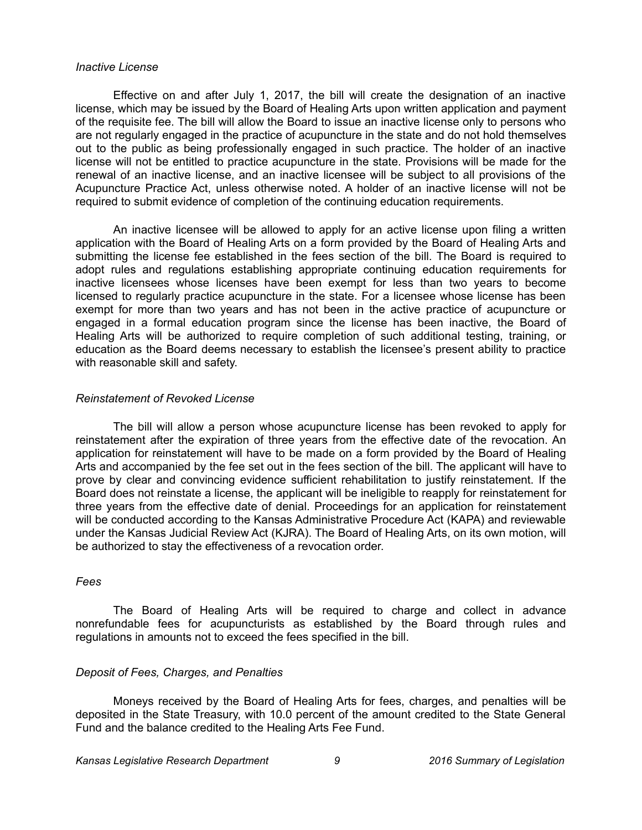#### *Inactive License*

Effective on and after July 1, 2017, the bill will create the designation of an inactive license, which may be issued by the Board of Healing Arts upon written application and payment of the requisite fee. The bill will allow the Board to issue an inactive license only to persons who are not regularly engaged in the practice of acupuncture in the state and do not hold themselves out to the public as being professionally engaged in such practice. The holder of an inactive license will not be entitled to practice acupuncture in the state. Provisions will be made for the renewal of an inactive license, and an inactive licensee will be subject to all provisions of the Acupuncture Practice Act, unless otherwise noted. A holder of an inactive license will not be required to submit evidence of completion of the continuing education requirements.

An inactive licensee will be allowed to apply for an active license upon filing a written application with the Board of Healing Arts on a form provided by the Board of Healing Arts and submitting the license fee established in the fees section of the bill. The Board is required to adopt rules and regulations establishing appropriate continuing education requirements for inactive licensees whose licenses have been exempt for less than two years to become licensed to regularly practice acupuncture in the state. For a licensee whose license has been exempt for more than two years and has not been in the active practice of acupuncture or engaged in a formal education program since the license has been inactive, the Board of Healing Arts will be authorized to require completion of such additional testing, training, or education as the Board deems necessary to establish the licensee's present ability to practice with reasonable skill and safety.

#### *Reinstatement of Revoked License*

The bill will allow a person whose acupuncture license has been revoked to apply for reinstatement after the expiration of three years from the effective date of the revocation. An application for reinstatement will have to be made on a form provided by the Board of Healing Arts and accompanied by the fee set out in the fees section of the bill. The applicant will have to prove by clear and convincing evidence sufficient rehabilitation to justify reinstatement. If the Board does not reinstate a license, the applicant will be ineligible to reapply for reinstatement for three years from the effective date of denial. Proceedings for an application for reinstatement will be conducted according to the Kansas Administrative Procedure Act (KAPA) and reviewable under the Kansas Judicial Review Act (KJRA). The Board of Healing Arts, on its own motion, will be authorized to stay the effectiveness of a revocation order.

#### *Fees*

The Board of Healing Arts will be required to charge and collect in advance nonrefundable fees for acupuncturists as established by the Board through rules and regulations in amounts not to exceed the fees specified in the bill.

#### *Deposit of Fees, Charges, and Penalties*

Moneys received by the Board of Healing Arts for fees, charges, and penalties will be deposited in the State Treasury, with 10.0 percent of the amount credited to the State General Fund and the balance credited to the Healing Arts Fee Fund.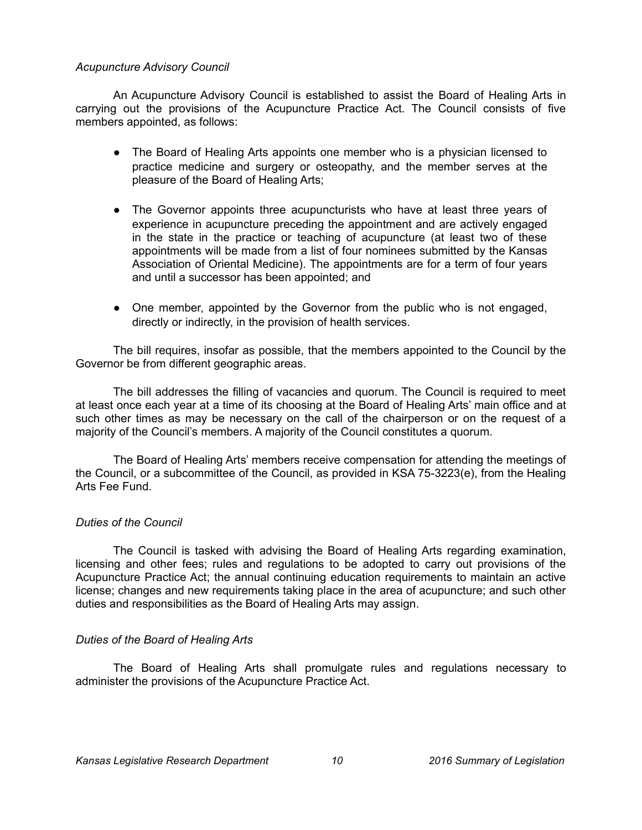### *Acupuncture Advisory Council*

An Acupuncture Advisory Council is established to assist the Board of Healing Arts in carrying out the provisions of the Acupuncture Practice Act. The Council consists of five members appointed, as follows:

- The Board of Healing Arts appoints one member who is a physician licensed to practice medicine and surgery or osteopathy, and the member serves at the pleasure of the Board of Healing Arts;
- The Governor appoints three acupuncturists who have at least three years of experience in acupuncture preceding the appointment and are actively engaged in the state in the practice or teaching of acupuncture (at least two of these appointments will be made from a list of four nominees submitted by the Kansas Association of Oriental Medicine). The appointments are for a term of four years and until a successor has been appointed; and
- One member, appointed by the Governor from the public who is not engaged, directly or indirectly, in the provision of health services.

The bill requires, insofar as possible, that the members appointed to the Council by the Governor be from different geographic areas.

The bill addresses the filling of vacancies and quorum. The Council is required to meet at least once each year at a time of its choosing at the Board of Healing Arts' main office and at such other times as may be necessary on the call of the chairperson or on the request of a majority of the Council's members. A majority of the Council constitutes a quorum.

The Board of Healing Arts' members receive compensation for attending the meetings of the Council, or a subcommittee of the Council, as provided in KSA 75-3223(e), from the Healing Arts Fee Fund.

## *Duties of the Council*

The Council is tasked with advising the Board of Healing Arts regarding examination, licensing and other fees; rules and regulations to be adopted to carry out provisions of the Acupuncture Practice Act; the annual continuing education requirements to maintain an active license; changes and new requirements taking place in the area of acupuncture; and such other duties and responsibilities as the Board of Healing Arts may assign.

#### *Duties of the Board of Healing Arts*

The Board of Healing Arts shall promulgate rules and regulations necessary to administer the provisions of the Acupuncture Practice Act.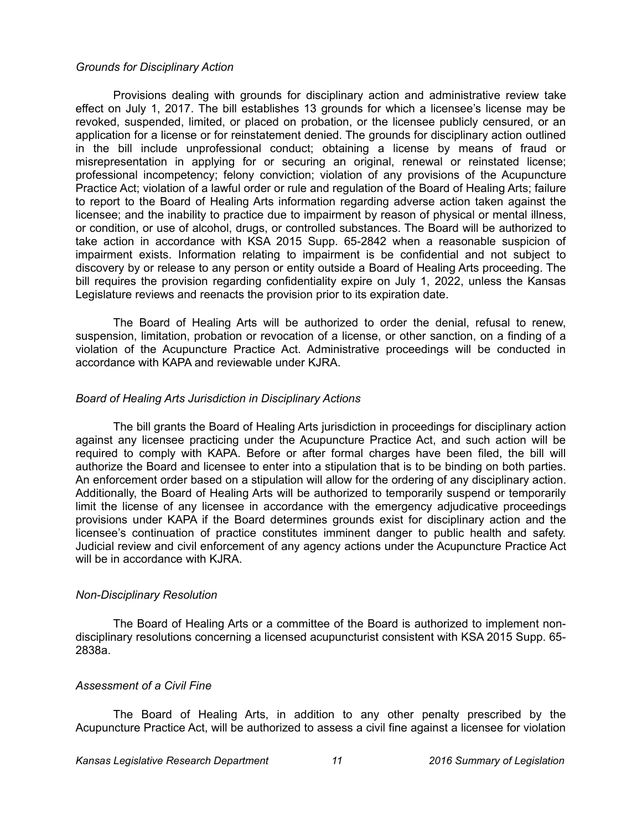#### *Grounds for Disciplinary Action*

Provisions dealing with grounds for disciplinary action and administrative review take effect on July 1, 2017. The bill establishes 13 grounds for which a licensee's license may be revoked, suspended, limited, or placed on probation, or the licensee publicly censured, or an application for a license or for reinstatement denied. The grounds for disciplinary action outlined in the bill include unprofessional conduct; obtaining a license by means of fraud or misrepresentation in applying for or securing an original, renewal or reinstated license; professional incompetency; felony conviction; violation of any provisions of the Acupuncture Practice Act; violation of a lawful order or rule and regulation of the Board of Healing Arts; failure to report to the Board of Healing Arts information regarding adverse action taken against the licensee; and the inability to practice due to impairment by reason of physical or mental illness, or condition, or use of alcohol, drugs, or controlled substances. The Board will be authorized to take action in accordance with KSA 2015 Supp. 65-2842 when a reasonable suspicion of impairment exists. Information relating to impairment is be confidential and not subject to discovery by or release to any person or entity outside a Board of Healing Arts proceeding. The bill requires the provision regarding confidentiality expire on July 1, 2022, unless the Kansas Legislature reviews and reenacts the provision prior to its expiration date.

The Board of Healing Arts will be authorized to order the denial, refusal to renew, suspension, limitation, probation or revocation of a license, or other sanction, on a finding of a violation of the Acupuncture Practice Act. Administrative proceedings will be conducted in accordance with KAPA and reviewable under KJRA.

### *Board of Healing Arts Jurisdiction in Disciplinary Actions*

The bill grants the Board of Healing Arts jurisdiction in proceedings for disciplinary action against any licensee practicing under the Acupuncture Practice Act, and such action will be required to comply with KAPA. Before or after formal charges have been filed, the bill will authorize the Board and licensee to enter into a stipulation that is to be binding on both parties. An enforcement order based on a stipulation will allow for the ordering of any disciplinary action. Additionally, the Board of Healing Arts will be authorized to temporarily suspend or temporarily limit the license of any licensee in accordance with the emergency adjudicative proceedings provisions under KAPA if the Board determines grounds exist for disciplinary action and the licensee's continuation of practice constitutes imminent danger to public health and safety. Judicial review and civil enforcement of any agency actions under the Acupuncture Practice Act will be in accordance with KJRA.

#### *Non-Disciplinary Resolution*

The Board of Healing Arts or a committee of the Board is authorized to implement nondisciplinary resolutions concerning a licensed acupuncturist consistent with KSA 2015 Supp. 65- 2838a.

## *Assessment of a Civil Fine*

The Board of Healing Arts, in addition to any other penalty prescribed by the Acupuncture Practice Act, will be authorized to assess a civil fine against a licensee for violation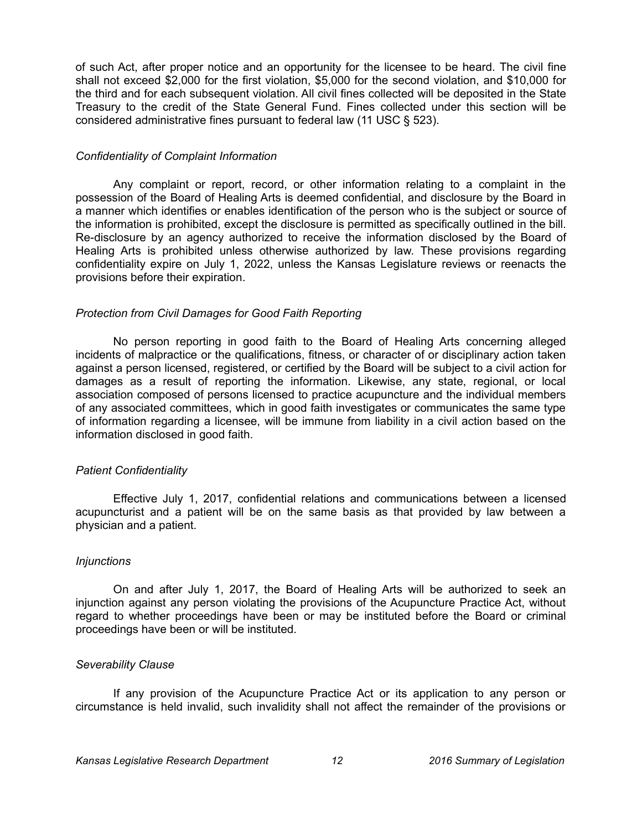of such Act, after proper notice and an opportunity for the licensee to be heard. The civil fine shall not exceed \$2,000 for the first violation, \$5,000 for the second violation, and \$10,000 for the third and for each subsequent violation. All civil fines collected will be deposited in the State Treasury to the credit of the State General Fund. Fines collected under this section will be considered administrative fines pursuant to federal law (11 USC § 523).

### *Confidentiality of Complaint Information*

Any complaint or report, record, or other information relating to a complaint in the possession of the Board of Healing Arts is deemed confidential, and disclosure by the Board in a manner which identifies or enables identification of the person who is the subject or source of the information is prohibited, except the disclosure is permitted as specifically outlined in the bill. Re-disclosure by an agency authorized to receive the information disclosed by the Board of Healing Arts is prohibited unless otherwise authorized by law. These provisions regarding confidentiality expire on July 1, 2022, unless the Kansas Legislature reviews or reenacts the provisions before their expiration.

### *Protection from Civil Damages for Good Faith Reporting*

No person reporting in good faith to the Board of Healing Arts concerning alleged incidents of malpractice or the qualifications, fitness, or character of or disciplinary action taken against a person licensed, registered, or certified by the Board will be subject to a civil action for damages as a result of reporting the information. Likewise, any state, regional, or local association composed of persons licensed to practice acupuncture and the individual members of any associated committees, which in good faith investigates or communicates the same type of information regarding a licensee, will be immune from liability in a civil action based on the information disclosed in good faith.

## *Patient Confidentiality*

Effective July 1, 2017, confidential relations and communications between a licensed acupuncturist and a patient will be on the same basis as that provided by law between a physician and a patient.

## *Injunctions*

On and after July 1, 2017, the Board of Healing Arts will be authorized to seek an injunction against any person violating the provisions of the Acupuncture Practice Act, without regard to whether proceedings have been or may be instituted before the Board or criminal proceedings have been or will be instituted.

## *Severability Clause*

If any provision of the Acupuncture Practice Act or its application to any person or circumstance is held invalid, such invalidity shall not affect the remainder of the provisions or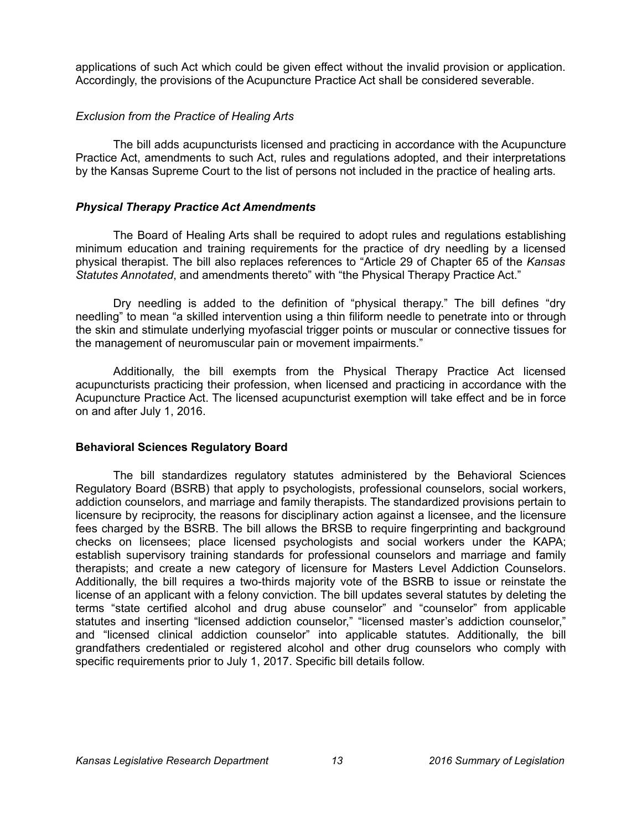applications of such Act which could be given effect without the invalid provision or application. Accordingly, the provisions of the Acupuncture Practice Act shall be considered severable.

### *Exclusion from the Practice of Healing Arts*

The bill adds acupuncturists licensed and practicing in accordance with the Acupuncture Practice Act, amendments to such Act, rules and regulations adopted, and their interpretations by the Kansas Supreme Court to the list of persons not included in the practice of healing arts.

### *Physical Therapy Practice Act Amendments*

The Board of Healing Arts shall be required to adopt rules and regulations establishing minimum education and training requirements for the practice of dry needling by a licensed physical therapist. The bill also replaces references to "Article 29 of Chapter 65 of the *Kansas Statutes Annotated*, and amendments thereto" with "the Physical Therapy Practice Act."

Dry needling is added to the definition of "physical therapy." The bill defines "dry needling" to mean "a skilled intervention using a thin filiform needle to penetrate into or through the skin and stimulate underlying myofascial trigger points or muscular or connective tissues for the management of neuromuscular pain or movement impairments."

Additionally, the bill exempts from the Physical Therapy Practice Act licensed acupuncturists practicing their profession, when licensed and practicing in accordance with the Acupuncture Practice Act. The licensed acupuncturist exemption will take effect and be in force on and after July 1, 2016.

#### **Behavioral Sciences Regulatory Board**

The bill standardizes regulatory statutes administered by the Behavioral Sciences Regulatory Board (BSRB) that apply to psychologists, professional counselors, social workers, addiction counselors, and marriage and family therapists. The standardized provisions pertain to licensure by reciprocity, the reasons for disciplinary action against a licensee, and the licensure fees charged by the BSRB. The bill allows the BRSB to require fingerprinting and background checks on licensees; place licensed psychologists and social workers under the KAPA; establish supervisory training standards for professional counselors and marriage and family therapists; and create a new category of licensure for Masters Level Addiction Counselors. Additionally, the bill requires a two-thirds majority vote of the BSRB to issue or reinstate the license of an applicant with a felony conviction. The bill updates several statutes by deleting the terms "state certified alcohol and drug abuse counselor" and "counselor" from applicable statutes and inserting "licensed addiction counselor," "licensed master's addiction counselor," and "licensed clinical addiction counselor" into applicable statutes. Additionally, the bill grandfathers credentialed or registered alcohol and other drug counselors who comply with specific requirements prior to July 1, 2017. Specific bill details follow.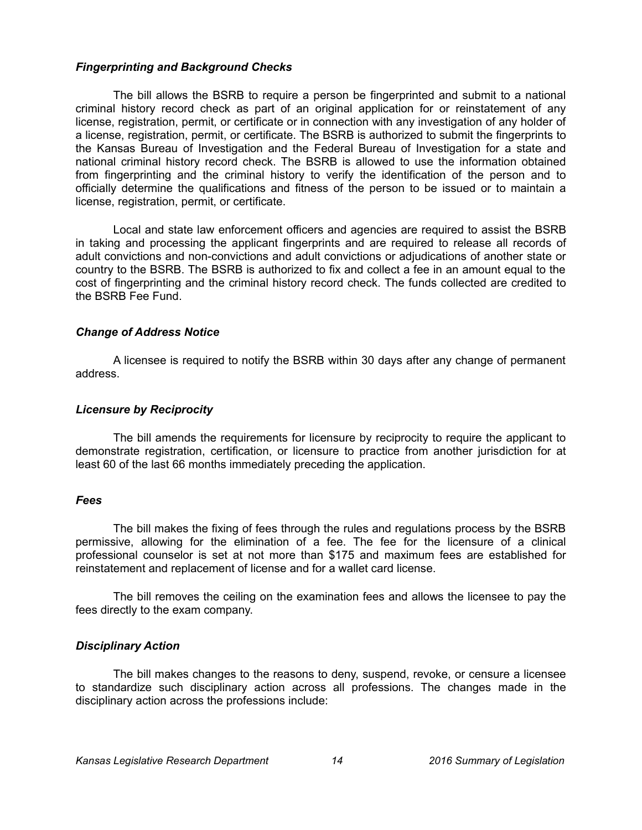### *Fingerprinting and Background Checks*

The bill allows the BSRB to require a person be fingerprinted and submit to a national criminal history record check as part of an original application for or reinstatement of any license, registration, permit, or certificate or in connection with any investigation of any holder of a license, registration, permit, or certificate. The BSRB is authorized to submit the fingerprints to the Kansas Bureau of Investigation and the Federal Bureau of Investigation for a state and national criminal history record check. The BSRB is allowed to use the information obtained from fingerprinting and the criminal history to verify the identification of the person and to officially determine the qualifications and fitness of the person to be issued or to maintain a license, registration, permit, or certificate.

Local and state law enforcement officers and agencies are required to assist the BSRB in taking and processing the applicant fingerprints and are required to release all records of adult convictions and non-convictions and adult convictions or adjudications of another state or country to the BSRB. The BSRB is authorized to fix and collect a fee in an amount equal to the cost of fingerprinting and the criminal history record check. The funds collected are credited to the BSRB Fee Fund.

### *Change of Address Notice*

A licensee is required to notify the BSRB within 30 days after any change of permanent address.

### *Licensure by Reciprocity*

The bill amends the requirements for licensure by reciprocity to require the applicant to demonstrate registration, certification, or licensure to practice from another jurisdiction for at least 60 of the last 66 months immediately preceding the application.

#### *Fees*

The bill makes the fixing of fees through the rules and regulations process by the BSRB permissive, allowing for the elimination of a fee. The fee for the licensure of a clinical professional counselor is set at not more than \$175 and maximum fees are established for reinstatement and replacement of license and for a wallet card license.

The bill removes the ceiling on the examination fees and allows the licensee to pay the fees directly to the exam company.

### *Disciplinary Action*

The bill makes changes to the reasons to deny, suspend, revoke, or censure a licensee to standardize such disciplinary action across all professions. The changes made in the disciplinary action across the professions include: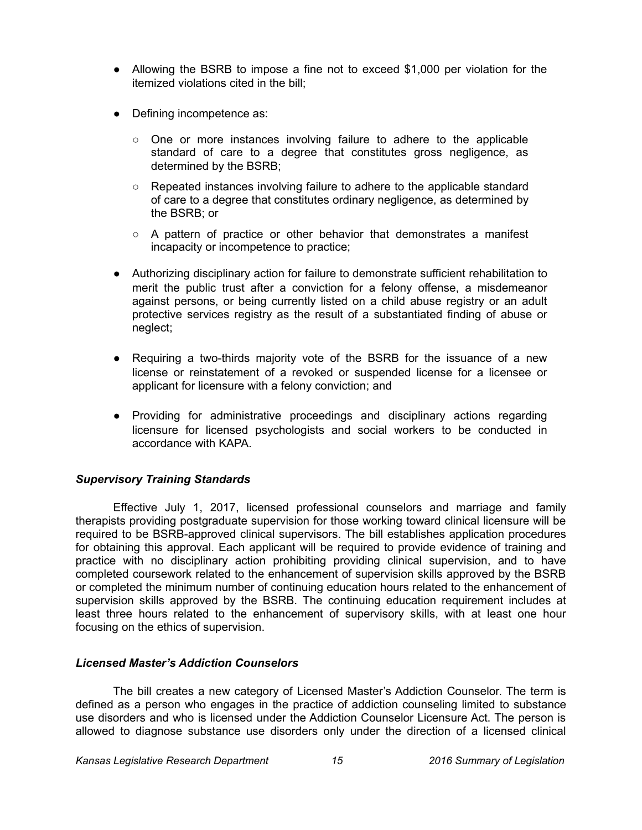- Allowing the BSRB to impose a fine not to exceed \$1,000 per violation for the itemized violations cited in the bill;
- Defining incompetence as:
	- $\circ$  One or more instances involving failure to adhere to the applicable standard of care to a degree that constitutes gross negligence, as determined by the BSRB;
	- Repeated instances involving failure to adhere to the applicable standard of care to a degree that constitutes ordinary negligence, as determined by the BSRB; or
	- $\circ$  A pattern of practice or other behavior that demonstrates a manifest incapacity or incompetence to practice;
- Authorizing disciplinary action for failure to demonstrate sufficient rehabilitation to merit the public trust after a conviction for a felony offense, a misdemeanor against persons, or being currently listed on a child abuse registry or an adult protective services registry as the result of a substantiated finding of abuse or neglect;
- Requiring a two-thirds majority vote of the BSRB for the issuance of a new license or reinstatement of a revoked or suspended license for a licensee or applicant for licensure with a felony conviction; and
- Providing for administrative proceedings and disciplinary actions regarding licensure for licensed psychologists and social workers to be conducted in accordance with KAPA.

# *Supervisory Training Standards*

Effective July 1, 2017, licensed professional counselors and marriage and family therapists providing postgraduate supervision for those working toward clinical licensure will be required to be BSRB-approved clinical supervisors. The bill establishes application procedures for obtaining this approval. Each applicant will be required to provide evidence of training and practice with no disciplinary action prohibiting providing clinical supervision, and to have completed coursework related to the enhancement of supervision skills approved by the BSRB or completed the minimum number of continuing education hours related to the enhancement of supervision skills approved by the BSRB. The continuing education requirement includes at least three hours related to the enhancement of supervisory skills, with at least one hour focusing on the ethics of supervision.

## *Licensed Master's Addiction Counselors*

The bill creates a new category of Licensed Master's Addiction Counselor. The term is defined as a person who engages in the practice of addiction counseling limited to substance use disorders and who is licensed under the Addiction Counselor Licensure Act. The person is allowed to diagnose substance use disorders only under the direction of a licensed clinical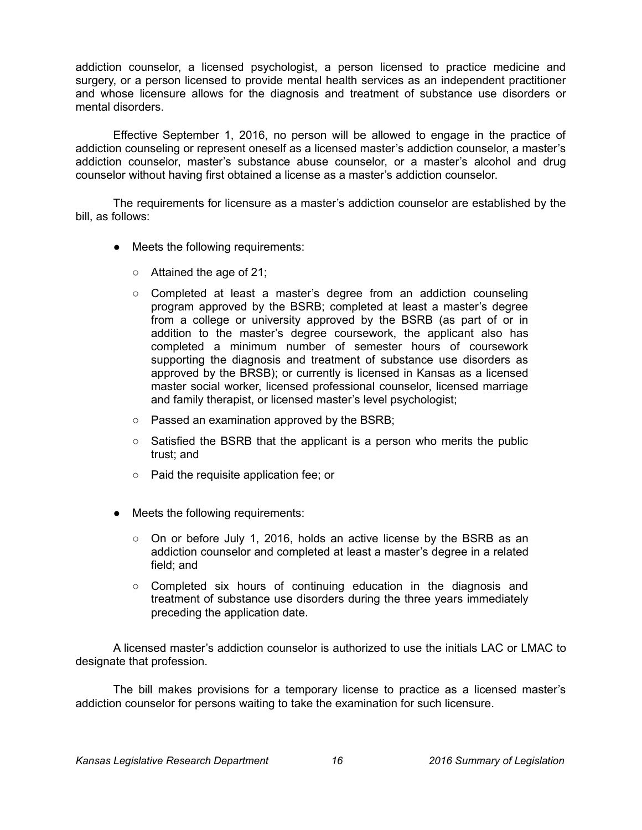addiction counselor, a licensed psychologist, a person licensed to practice medicine and surgery, or a person licensed to provide mental health services as an independent practitioner and whose licensure allows for the diagnosis and treatment of substance use disorders or mental disorders.

Effective September 1, 2016, no person will be allowed to engage in the practice of addiction counseling or represent oneself as a licensed master's addiction counselor, a master's addiction counselor, master's substance abuse counselor, or a master's alcohol and drug counselor without having first obtained a license as a master's addiction counselor.

The requirements for licensure as a master's addiction counselor are established by the bill, as follows:

- Meets the following requirements:
	- Attained the age of 21;
	- Completed at least a master's degree from an addiction counseling program approved by the BSRB; completed at least a master's degree from a college or university approved by the BSRB (as part of or in addition to the master's degree coursework, the applicant also has completed a minimum number of semester hours of coursework supporting the diagnosis and treatment of substance use disorders as approved by the BRSB); or currently is licensed in Kansas as a licensed master social worker, licensed professional counselor, licensed marriage and family therapist, or licensed master's level psychologist;
	- Passed an examination approved by the BSRB;
	- $\circ$  Satisfied the BSRB that the applicant is a person who merits the public trust; and
	- Paid the requisite application fee; or
- Meets the following requirements:
	- $\circ$  On or before July 1, 2016, holds an active license by the BSRB as an addiction counselor and completed at least a master's degree in a related field; and
	- Completed six hours of continuing education in the diagnosis and treatment of substance use disorders during the three years immediately preceding the application date.

A licensed master's addiction counselor is authorized to use the initials LAC or LMAC to designate that profession.

The bill makes provisions for a temporary license to practice as a licensed master's addiction counselor for persons waiting to take the examination for such licensure.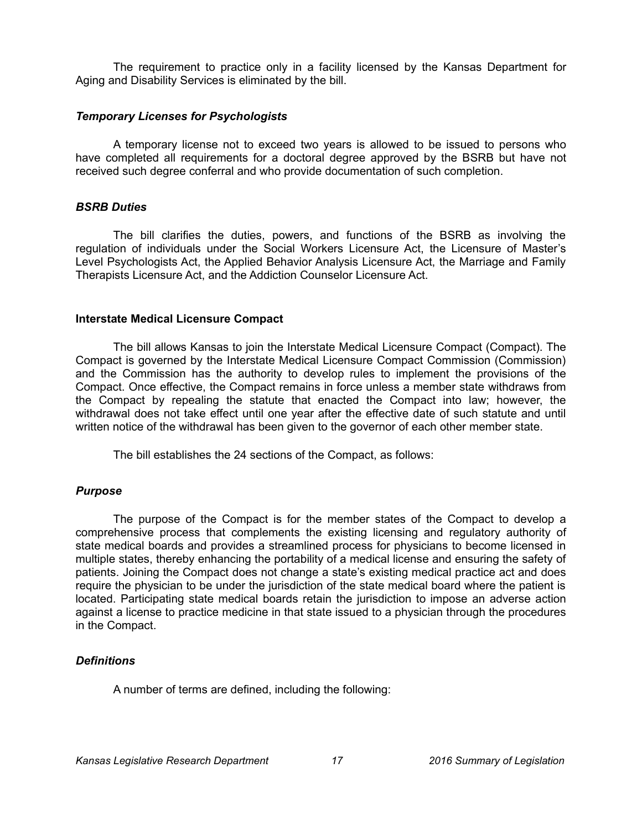The requirement to practice only in a facility licensed by the Kansas Department for Aging and Disability Services is eliminated by the bill.

### *Temporary Licenses for Psychologists*

A temporary license not to exceed two years is allowed to be issued to persons who have completed all requirements for a doctoral degree approved by the BSRB but have not received such degree conferral and who provide documentation of such completion.

### *BSRB Duties*

The bill clarifies the duties, powers, and functions of the BSRB as involving the regulation of individuals under the Social Workers Licensure Act, the Licensure of Master's Level Psychologists Act, the Applied Behavior Analysis Licensure Act, the Marriage and Family Therapists Licensure Act, and the Addiction Counselor Licensure Act.

### **Interstate Medical Licensure Compact**

The bill allows Kansas to join the Interstate Medical Licensure Compact (Compact). The Compact is governed by the Interstate Medical Licensure Compact Commission (Commission) and the Commission has the authority to develop rules to implement the provisions of the Compact. Once effective, the Compact remains in force unless a member state withdraws from the Compact by repealing the statute that enacted the Compact into law; however, the withdrawal does not take effect until one year after the effective date of such statute and until written notice of the withdrawal has been given to the governor of each other member state.

The bill establishes the 24 sections of the Compact, as follows:

## *Purpose*

The purpose of the Compact is for the member states of the Compact to develop a comprehensive process that complements the existing licensing and regulatory authority of state medical boards and provides a streamlined process for physicians to become licensed in multiple states, thereby enhancing the portability of a medical license and ensuring the safety of patients. Joining the Compact does not change a state's existing medical practice act and does require the physician to be under the jurisdiction of the state medical board where the patient is located. Participating state medical boards retain the jurisdiction to impose an adverse action against a license to practice medicine in that state issued to a physician through the procedures in the Compact.

## *Definitions*

A number of terms are defined, including the following: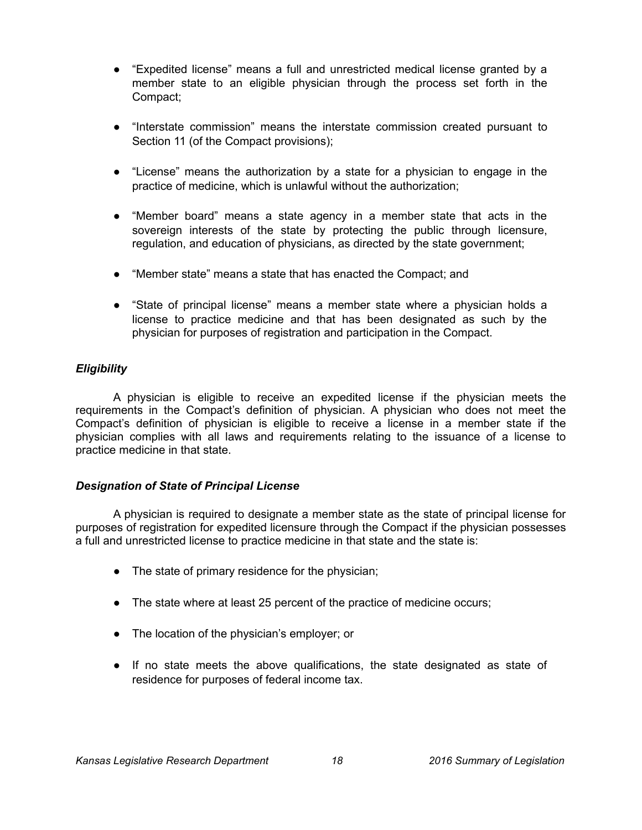- "Expedited license" means a full and unrestricted medical license granted by a member state to an eligible physician through the process set forth in the Compact;
- "Interstate commission" means the interstate commission created pursuant to Section 11 (of the Compact provisions);
- "License" means the authorization by a state for a physician to engage in the practice of medicine, which is unlawful without the authorization;
- "Member board" means a state agency in a member state that acts in the sovereign interests of the state by protecting the public through licensure, regulation, and education of physicians, as directed by the state government;
- "Member state" means a state that has enacted the Compact; and
- "State of principal license" means a member state where a physician holds a license to practice medicine and that has been designated as such by the physician for purposes of registration and participation in the Compact.

## *Eligibility*

A physician is eligible to receive an expedited license if the physician meets the requirements in the Compact's definition of physician. A physician who does not meet the Compact's definition of physician is eligible to receive a license in a member state if the physician complies with all laws and requirements relating to the issuance of a license to practice medicine in that state.

## *Designation of State of Principal License*

A physician is required to designate a member state as the state of principal license for purposes of registration for expedited licensure through the Compact if the physician possesses a full and unrestricted license to practice medicine in that state and the state is:

- The state of primary residence for the physician;
- The state where at least 25 percent of the practice of medicine occurs;
- The location of the physician's employer; or
- If no state meets the above qualifications, the state designated as state of residence for purposes of federal income tax.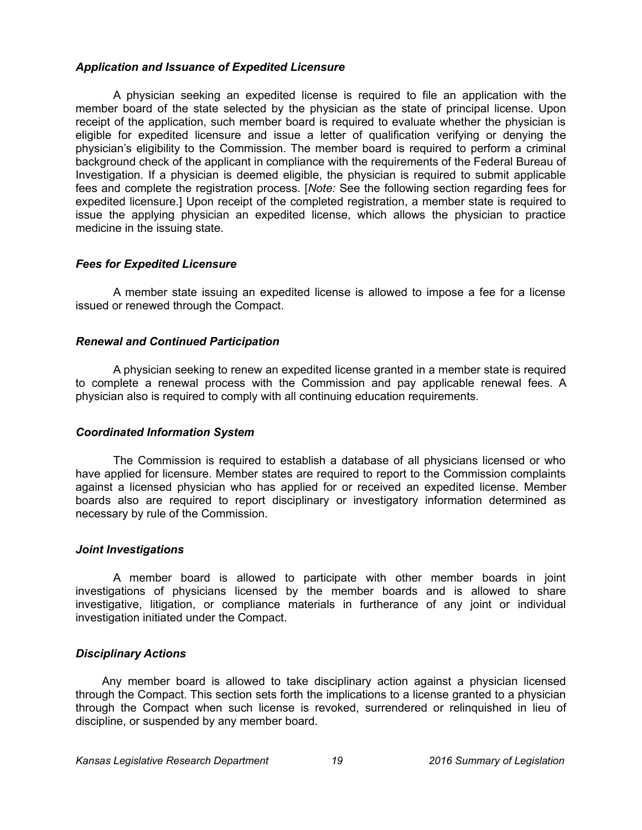### *Application and Issuance of Expedited Licensure*

A physician seeking an expedited license is required to file an application with the member board of the state selected by the physician as the state of principal license. Upon receipt of the application, such member board is required to evaluate whether the physician is eligible for expedited licensure and issue a letter of qualification verifying or denying the physician's eligibility to the Commission. The member board is required to perform a criminal background check of the applicant in compliance with the requirements of the Federal Bureau of Investigation. If a physician is deemed eligible, the physician is required to submit applicable fees and complete the registration process. [*Note:* See the following section regarding fees for expedited licensure.] Upon receipt of the completed registration, a member state is required to issue the applying physician an expedited license, which allows the physician to practice medicine in the issuing state.

### *Fees for Expedited Licensure*

A member state issuing an expedited license is allowed to impose a fee for a license issued or renewed through the Compact.

### *Renewal and Continued Participation*

A physician seeking to renew an expedited license granted in a member state is required to complete a renewal process with the Commission and pay applicable renewal fees. A physician also is required to comply with all continuing education requirements.

#### *Coordinated Information System*

The Commission is required to establish a database of all physicians licensed or who have applied for licensure. Member states are required to report to the Commission complaints against a licensed physician who has applied for or received an expedited license. Member boards also are required to report disciplinary or investigatory information determined as necessary by rule of the Commission.

#### *Joint Investigations*

A member board is allowed to participate with other member boards in joint investigations of physicians licensed by the member boards and is allowed to share investigative, litigation, or compliance materials in furtherance of any joint or individual investigation initiated under the Compact.

## *Disciplinary Actions*

Any member board is allowed to take disciplinary action against a physician licensed through the Compact. This section sets forth the implications to a license granted to a physician through the Compact when such license is revoked, surrendered or relinquished in lieu of discipline, or suspended by any member board.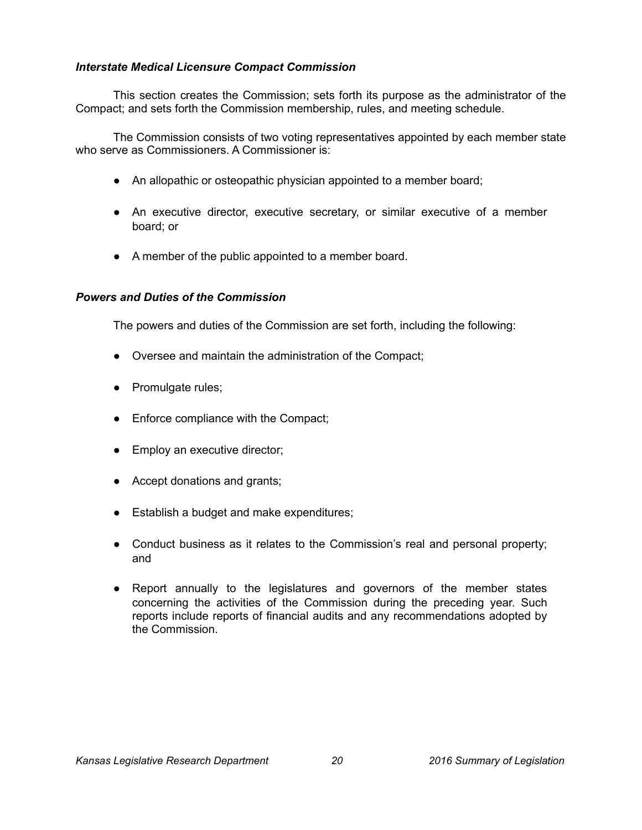## *Interstate Medical Licensure Compact Commission*

This section creates the Commission; sets forth its purpose as the administrator of the Compact; and sets forth the Commission membership, rules, and meeting schedule.

The Commission consists of two voting representatives appointed by each member state who serve as Commissioners. A Commissioner is:

- An allopathic or osteopathic physician appointed to a member board;
- An executive director, executive secretary, or similar executive of a member board; or
- A member of the public appointed to a member board.

### *Powers and Duties of the Commission*

The powers and duties of the Commission are set forth, including the following:

- Oversee and maintain the administration of the Compact;
- Promulgate rules;
- Enforce compliance with the Compact;
- Employ an executive director;
- Accept donations and grants;
- Establish a budget and make expenditures;
- Conduct business as it relates to the Commission's real and personal property; and
- Report annually to the legislatures and governors of the member states concerning the activities of the Commission during the preceding year. Such reports include reports of financial audits and any recommendations adopted by the Commission.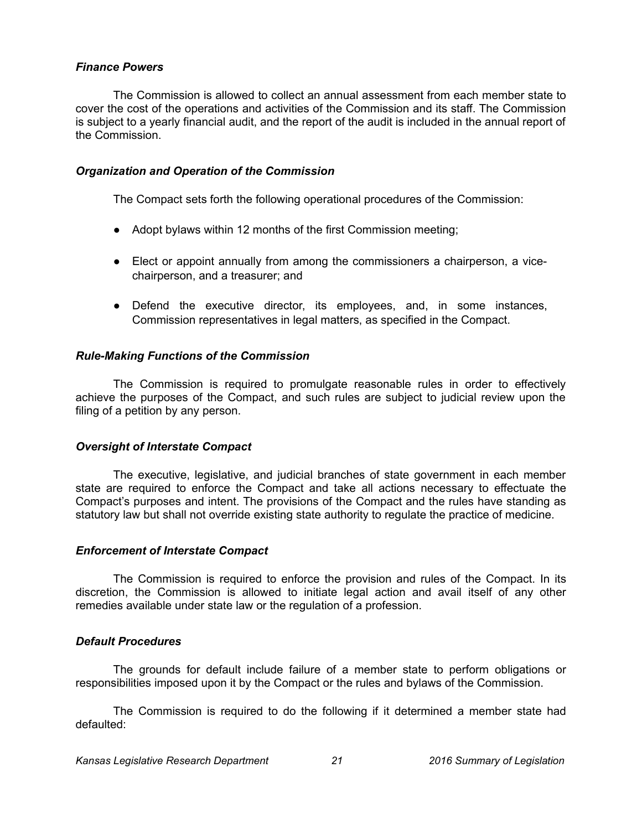## *Finance Powers*

The Commission is allowed to collect an annual assessment from each member state to cover the cost of the operations and activities of the Commission and its staff. The Commission is subject to a yearly financial audit, and the report of the audit is included in the annual report of the Commission.

### *Organization and Operation of the Commission*

The Compact sets forth the following operational procedures of the Commission:

- Adopt bylaws within 12 months of the first Commission meeting;
- Elect or appoint annually from among the commissioners a chairperson, a vicechairperson, and a treasurer; and
- Defend the executive director, its employees, and, in some instances, Commission representatives in legal matters, as specified in the Compact.

## *Rule-Making Functions of the Commission*

The Commission is required to promulgate reasonable rules in order to effectively achieve the purposes of the Compact, and such rules are subject to judicial review upon the filing of a petition by any person.

## *Oversight of Interstate Compact*

The executive, legislative, and judicial branches of state government in each member state are required to enforce the Compact and take all actions necessary to effectuate the Compact's purposes and intent. The provisions of the Compact and the rules have standing as statutory law but shall not override existing state authority to regulate the practice of medicine.

#### *Enforcement of Interstate Compact*

The Commission is required to enforce the provision and rules of the Compact. In its discretion, the Commission is allowed to initiate legal action and avail itself of any other remedies available under state law or the regulation of a profession.

#### *Default Procedures*

The grounds for default include failure of a member state to perform obligations or responsibilities imposed upon it by the Compact or the rules and bylaws of the Commission.

The Commission is required to do the following if it determined a member state had defaulted: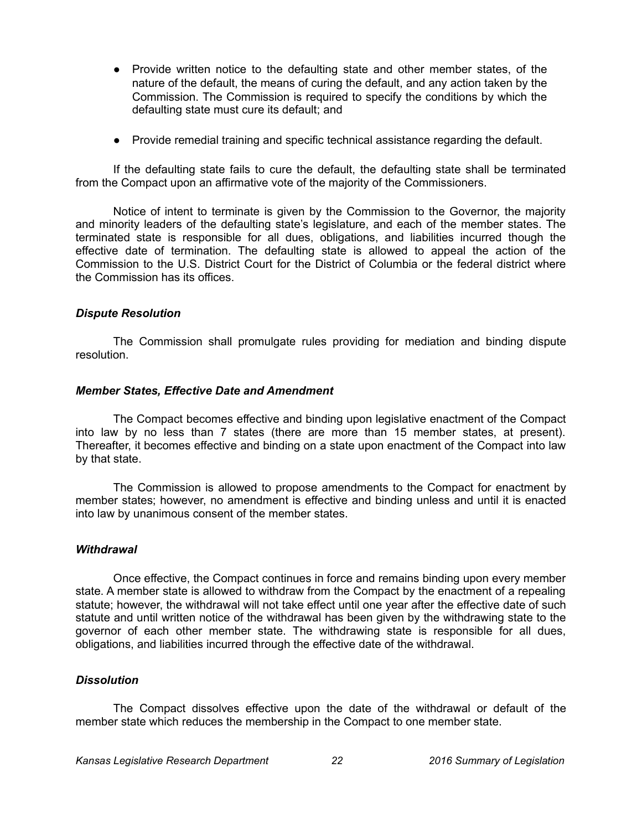- Provide written notice to the defaulting state and other member states, of the nature of the default, the means of curing the default, and any action taken by the Commission. The Commission is required to specify the conditions by which the defaulting state must cure its default; and
- Provide remedial training and specific technical assistance regarding the default.

If the defaulting state fails to cure the default, the defaulting state shall be terminated from the Compact upon an affirmative vote of the majority of the Commissioners.

Notice of intent to terminate is given by the Commission to the Governor, the majority and minority leaders of the defaulting state's legislature, and each of the member states. The terminated state is responsible for all dues, obligations, and liabilities incurred though the effective date of termination. The defaulting state is allowed to appeal the action of the Commission to the U.S. District Court for the District of Columbia or the federal district where the Commission has its offices.

### *Dispute Resolution*

The Commission shall promulgate rules providing for mediation and binding dispute resolution.

#### *Member States, Effective Date and Amendment*

The Compact becomes effective and binding upon legislative enactment of the Compact into law by no less than 7 states (there are more than 15 member states, at present). Thereafter, it becomes effective and binding on a state upon enactment of the Compact into law by that state.

The Commission is allowed to propose amendments to the Compact for enactment by member states; however, no amendment is effective and binding unless and until it is enacted into law by unanimous consent of the member states.

#### *Withdrawal*

Once effective, the Compact continues in force and remains binding upon every member state. A member state is allowed to withdraw from the Compact by the enactment of a repealing statute; however, the withdrawal will not take effect until one year after the effective date of such statute and until written notice of the withdrawal has been given by the withdrawing state to the governor of each other member state. The withdrawing state is responsible for all dues, obligations, and liabilities incurred through the effective date of the withdrawal.

#### *Dissolution*

The Compact dissolves effective upon the date of the withdrawal or default of the member state which reduces the membership in the Compact to one member state.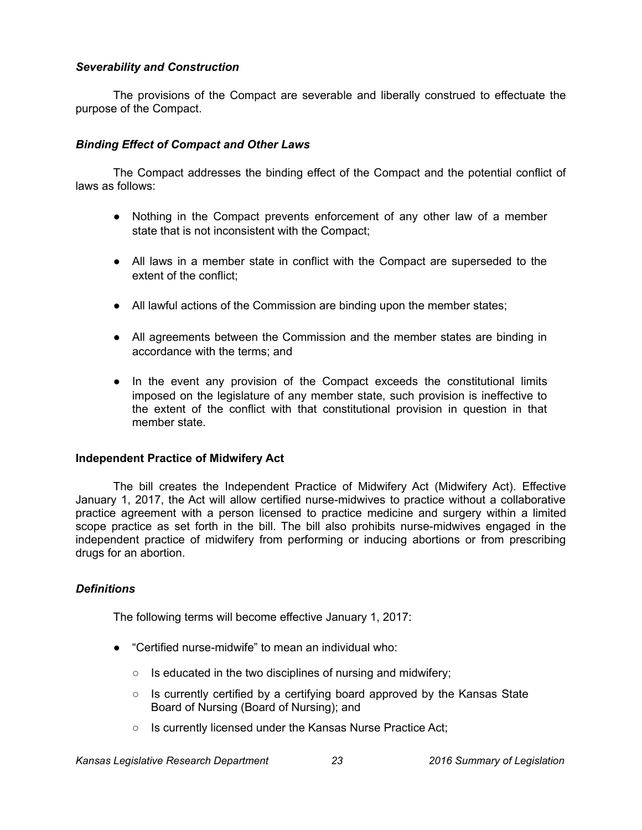## *Severability and Construction*

The provisions of the Compact are severable and liberally construed to effectuate the purpose of the Compact.

## *Binding Effect of Compact and Other Laws*

The Compact addresses the binding effect of the Compact and the potential conflict of laws as follows:

- Nothing in the Compact prevents enforcement of any other law of a member state that is not inconsistent with the Compact;
- All laws in a member state in conflict with the Compact are superseded to the extent of the conflict;
- All lawful actions of the Commission are binding upon the member states;
- All agreements between the Commission and the member states are binding in accordance with the terms; and
- In the event any provision of the Compact exceeds the constitutional limits imposed on the legislature of any member state, such provision is ineffective to the extent of the conflict with that constitutional provision in question in that member state.

## **Independent Practice of Midwifery Act**

The bill creates the Independent Practice of Midwifery Act (Midwifery Act). Effective January 1, 2017, the Act will allow certified nurse-midwives to practice without a collaborative practice agreement with a person licensed to practice medicine and surgery within a limited scope practice as set forth in the bill. The bill also prohibits nurse-midwives engaged in the independent practice of midwifery from performing or inducing abortions or from prescribing drugs for an abortion.

## *Definitions*

The following terms will become effective January 1, 2017:

- "Certified nurse-midwife" to mean an individual who:
	- Is educated in the two disciplines of nursing and midwifery;
	- $\circ$  Is currently certified by a certifying board approved by the Kansas State Board of Nursing (Board of Nursing); and
	- Is currently licensed under the Kansas Nurse Practice Act;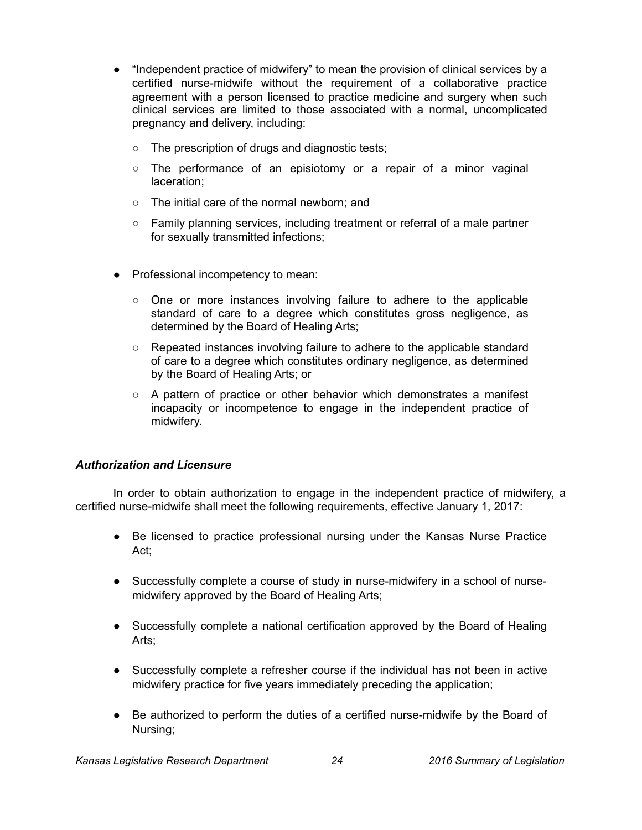- "Independent practice of midwifery" to mean the provision of clinical services by a certified nurse-midwife without the requirement of a collaborative practice agreement with a person licensed to practice medicine and surgery when such clinical services are limited to those associated with a normal, uncomplicated pregnancy and delivery, including:
	- The prescription of drugs and diagnostic tests;
	- $\circ$  The performance of an episiotomy or a repair of a minor vaginal laceration;
	- The initial care of the normal newborn; and
	- Family planning services, including treatment or referral of a male partner for sexually transmitted infections;
- Professional incompetency to mean:
	- One or more instances involving failure to adhere to the applicable standard of care to a degree which constitutes gross negligence, as determined by the Board of Healing Arts;
	- Repeated instances involving failure to adhere to the applicable standard of care to a degree which constitutes ordinary negligence, as determined by the Board of Healing Arts; or
	- $\circ$  A pattern of practice or other behavior which demonstrates a manifest incapacity or incompetence to engage in the independent practice of midwifery.

# *Authorization and Licensure*

In order to obtain authorization to engage in the independent practice of midwifery, a certified nurse-midwife shall meet the following requirements, effective January 1, 2017:

- Be licensed to practice professional nursing under the Kansas Nurse Practice Act;
- Successfully complete a course of study in nurse-midwifery in a school of nursemidwifery approved by the Board of Healing Arts;
- Successfully complete a national certification approved by the Board of Healing Arts;
- Successfully complete a refresher course if the individual has not been in active midwifery practice for five years immediately preceding the application;
- Be authorized to perform the duties of a certified nurse-midwife by the Board of Nursing;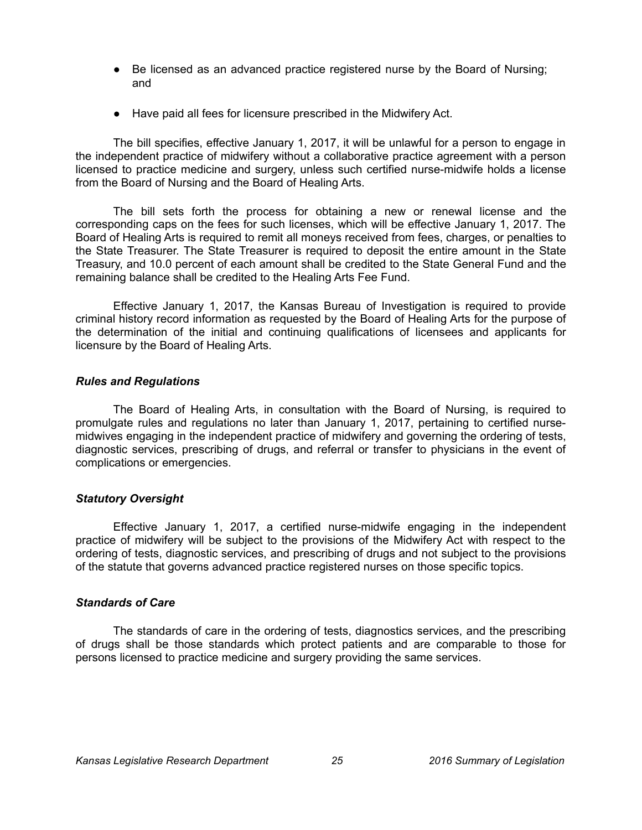- Be licensed as an advanced practice registered nurse by the Board of Nursing; and
- Have paid all fees for licensure prescribed in the Midwifery Act.

The bill specifies, effective January 1, 2017, it will be unlawful for a person to engage in the independent practice of midwifery without a collaborative practice agreement with a person licensed to practice medicine and surgery, unless such certified nurse-midwife holds a license from the Board of Nursing and the Board of Healing Arts.

The bill sets forth the process for obtaining a new or renewal license and the corresponding caps on the fees for such licenses, which will be effective January 1, 2017. The Board of Healing Arts is required to remit all moneys received from fees, charges, or penalties to the State Treasurer. The State Treasurer is required to deposit the entire amount in the State Treasury, and 10.0 percent of each amount shall be credited to the State General Fund and the remaining balance shall be credited to the Healing Arts Fee Fund.

Effective January 1, 2017, the Kansas Bureau of Investigation is required to provide criminal history record information as requested by the Board of Healing Arts for the purpose of the determination of the initial and continuing qualifications of licensees and applicants for licensure by the Board of Healing Arts.

### *Rules and Regulations*

The Board of Healing Arts, in consultation with the Board of Nursing, is required to promulgate rules and regulations no later than January 1, 2017, pertaining to certified nursemidwives engaging in the independent practice of midwifery and governing the ordering of tests, diagnostic services, prescribing of drugs, and referral or transfer to physicians in the event of complications or emergencies.

## *Statutory Oversight*

Effective January 1, 2017, a certified nurse-midwife engaging in the independent practice of midwifery will be subject to the provisions of the Midwifery Act with respect to the ordering of tests, diagnostic services, and prescribing of drugs and not subject to the provisions of the statute that governs advanced practice registered nurses on those specific topics.

#### *Standards of Care*

The standards of care in the ordering of tests, diagnostics services, and the prescribing of drugs shall be those standards which protect patients and are comparable to those for persons licensed to practice medicine and surgery providing the same services.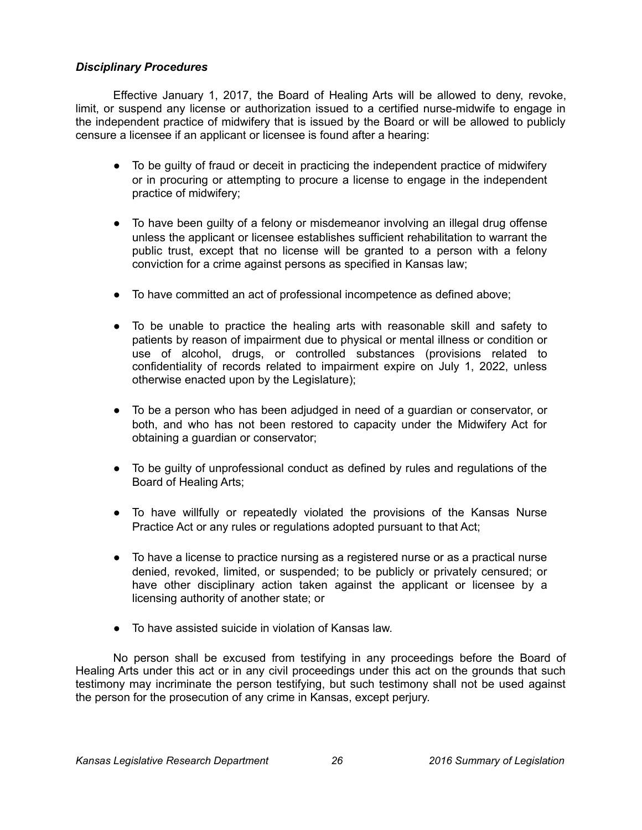## *Disciplinary Procedures*

Effective January 1, 2017, the Board of Healing Arts will be allowed to deny, revoke, limit, or suspend any license or authorization issued to a certified nurse-midwife to engage in the independent practice of midwifery that is issued by the Board or will be allowed to publicly censure a licensee if an applicant or licensee is found after a hearing:

- To be guilty of fraud or deceit in practicing the independent practice of midwifery or in procuring or attempting to procure a license to engage in the independent practice of midwifery;
- To have been guilty of a felony or misdemeanor involving an illegal drug offense unless the applicant or licensee establishes sufficient rehabilitation to warrant the public trust, except that no license will be granted to a person with a felony conviction for a crime against persons as specified in Kansas law;
- To have committed an act of professional incompetence as defined above;
- To be unable to practice the healing arts with reasonable skill and safety to patients by reason of impairment due to physical or mental illness or condition or use of alcohol, drugs, or controlled substances (provisions related to confidentiality of records related to impairment expire on July 1, 2022, unless otherwise enacted upon by the Legislature);
- To be a person who has been adjudged in need of a guardian or conservator, or both, and who has not been restored to capacity under the Midwifery Act for obtaining a guardian or conservator;
- To be guilty of unprofessional conduct as defined by rules and regulations of the Board of Healing Arts;
- To have willfully or repeatedly violated the provisions of the Kansas Nurse Practice Act or any rules or regulations adopted pursuant to that Act;
- To have a license to practice nursing as a registered nurse or as a practical nurse denied, revoked, limited, or suspended; to be publicly or privately censured; or have other disciplinary action taken against the applicant or licensee by a licensing authority of another state; or
- To have assisted suicide in violation of Kansas law.

No person shall be excused from testifying in any proceedings before the Board of Healing Arts under this act or in any civil proceedings under this act on the grounds that such testimony may incriminate the person testifying, but such testimony shall not be used against the person for the prosecution of any crime in Kansas, except perjury.